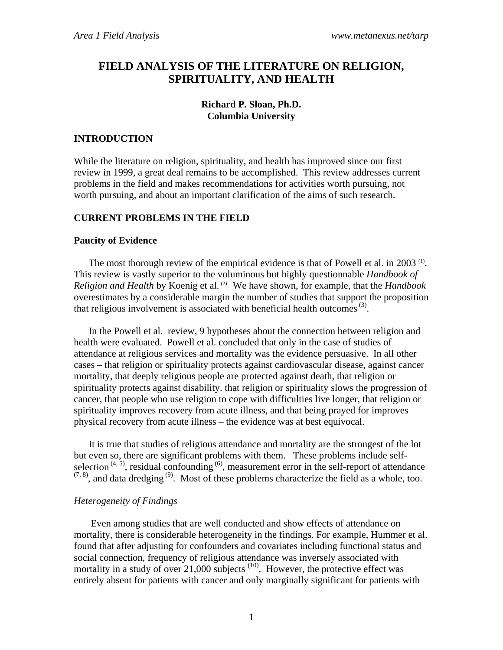# **FIELD ANALYSIS OF THE LITERATURE ON RELIGION, SPIRITUALITY, AND HEALTH**

# **Richard P. Sloan, Ph.D. Columbia University**

# **INTRODUCTION**

While the literature on religion, spirituality, and health has improved since our first review in 1999, a great deal remains to be accomplished. This review addresses current problems in the field and makes recommendations for activities worth pursuing, not worth pursuing, and about an important clarification of the aims of such research.

# **CURRENT PROBLEMS IN THE FIELD**

# **Paucity of Evidence**

The most thorough review of the empirical evidence is that of Powell et al. in 2003<sup>(1)</sup>. This review is vastly superior to the voluminous but highly questionnable *Handbook of Religion and Health* by Koenig et al. (2). We have shown, for example, that the *Handbook* overestimates by a considerable margin the number of studies that support the proposition that religious involvement is associated with beneficial health outcomes  $(3)$ .

In the Powell et al. review, 9 hypotheses about the connection between religion and health were evaluated. Powell et al. concluded that only in the case of studies of attendance at religious services and mortality was the evidence persuasive. In all other cases – that religion or spirituality protects against cardiovascular disease, against cancer mortality, that deeply religious people are protected against death, that religion or spirituality protects against disability. that religion or spirituality slows the progression of cancer, that people who use religion to cope with difficulties live longer, that religion or spirituality improves recovery from acute illness, and that being prayed for improves physical recovery from acute illness – the evidence was at best equivocal.

It is true that studies of religious attendance and mortality are the strongest of the lot but even so, there are significant problems with them. These problems include selfselection  $(4, 5)$ , residual confounding  $(6)$ , measurement error in the self-report of attendance  $(7, 8)$ , and data dredging <sup>(9)</sup>. Most of these problems characterize the field as a whole, too.

# *Heterogeneity of Findings*

Even among studies that are well conducted and show effects of attendance on mortality, there is considerable heterogeneity in the findings. For example, Hummer et al. found that after adjusting for confounders and covariates including functional status and social connection, frequency of religious attendance was inversely associated with mortality in a study of over  $21,000$  subjects  $(10)$ . However, the protective effect was entirely absent for patients with cancer and only marginally significant for patients with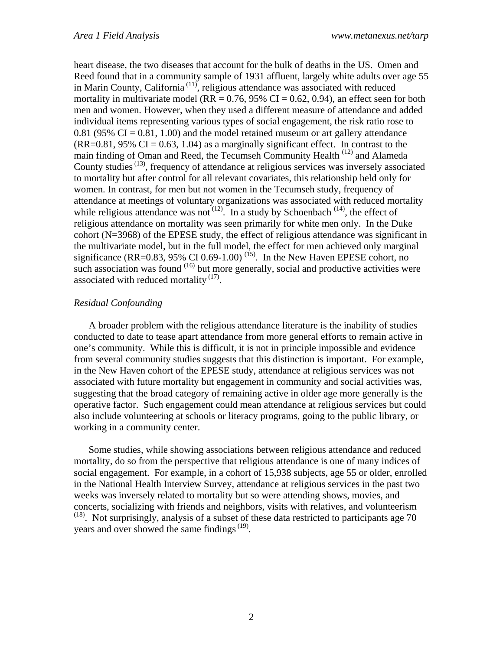heart disease, the two diseases that account for the bulk of deaths in the US. Omen and Reed found that in a community sample of 1931 affluent, largely white adults over age 55 in Marin County, California<sup>(11)</sup>, religious attendance was associated with reduced mortality in multivariate model ( $RR = 0.76$ , 95% CI = 0.62, 0.94), an effect seen for both men and women. However, when they used a different measure of attendance and added individual items representing various types of social engagement, the risk ratio rose to  $0.81$  (95% CI =  $0.81$ , 1.00) and the model retained museum or art gallery attendance  $(RR=0.81, 95\% \text{ CI} = 0.63, 1.04)$  as a marginally significant effect. In contrast to the main finding of Oman and Reed, the Tecumseh Community Health<sup>(12)</sup> and Alameda County studies (13), frequency of attendance at religious services was inversely associated to mortality but after control for all relevant covariates, this relationship held only for women. In contrast, for men but not women in the Tecumseh study, frequency of attendance at meetings of voluntary organizations was associated with reduced mortality while religious attendance was not  $(12)$ . In a study by Schoenbach  $(14)$ , the effect of religious attendance on mortality was seen primarily for white men only. In the Duke cohort (N=3968) of the EPESE study, the effect of religious attendance was significant in the multivariate model, but in the full model, the effect for men achieved only marginal significance (RR=0.83, 95% CI 0.69-1.00)<sup>(15)</sup>. In the New Haven EPESE cohort, no such association was found  $(16)$  but more generally, social and productive activities were associated with reduced mortality  $(17)$ .

# *Residual Confounding*

A broader problem with the religious attendance literature is the inability of studies conducted to date to tease apart attendance from more general efforts to remain active in one's community. While this is difficult, it is not in principle impossible and evidence from several community studies suggests that this distinction is important. For example, in the New Haven cohort of the EPESE study, attendance at religious services was not associated with future mortality but engagement in community and social activities was, suggesting that the broad category of remaining active in older age more generally is the operative factor. Such engagement could mean attendance at religious services but could also include volunteering at schools or literacy programs, going to the public library, or working in a community center.

Some studies, while showing associations between religious attendance and reduced mortality, do so from the perspective that religious attendance is one of many indices of social engagement. For example, in a cohort of 15,938 subjects, age 55 or older, enrolled in the National Health Interview Survey, attendance at religious services in the past two weeks was inversely related to mortality but so were attending shows, movies, and concerts, socializing with friends and neighbors, visits with relatives, and volunteerism  $(18)$ . Not surprisingly, analysis of a subset of these data restricted to participants age 70 years and over showed the same findings  $(19)$ .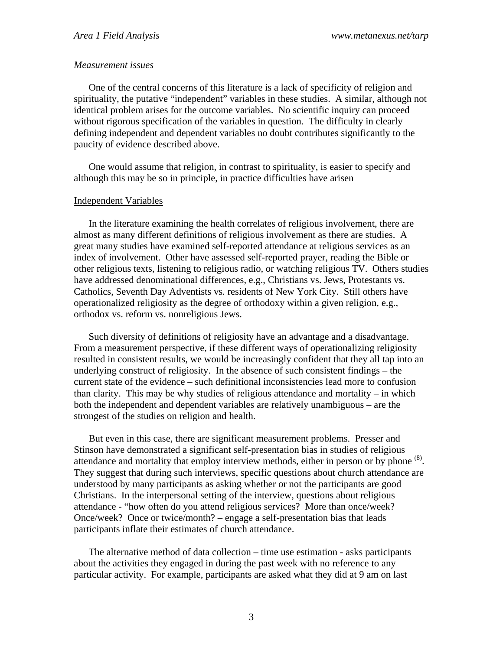#### *Measurement issues*

One of the central concerns of this literature is a lack of specificity of religion and spirituality, the putative "independent" variables in these studies. A similar, although not identical problem arises for the outcome variables. No scientific inquiry can proceed without rigorous specification of the variables in question. The difficulty in clearly defining independent and dependent variables no doubt contributes significantly to the paucity of evidence described above.

One would assume that religion, in contrast to spirituality, is easier to specify and although this may be so in principle, in practice difficulties have arisen

### Independent Variables

In the literature examining the health correlates of religious involvement, there are almost as many different definitions of religious involvement as there are studies. A great many studies have examined self-reported attendance at religious services as an index of involvement. Other have assessed self-reported prayer, reading the Bible or other religious texts, listening to religious radio, or watching religious TV. Others studies have addressed denominational differences, e.g., Christians vs. Jews, Protestants vs. Catholics, Seventh Day Adventists vs. residents of New York City. Still others have operationalized religiosity as the degree of orthodoxy within a given religion, e.g., orthodox vs. reform vs. nonreligious Jews.

Such diversity of definitions of religiosity have an advantage and a disadvantage. From a measurement perspective, if these different ways of operationalizing religiosity resulted in consistent results, we would be increasingly confident that they all tap into an underlying construct of religiosity. In the absence of such consistent findings – the current state of the evidence – such definitional inconsistencies lead more to confusion than clarity. This may be why studies of religious attendance and mortality – in which both the independent and dependent variables are relatively unambiguous – are the strongest of the studies on religion and health.

But even in this case, there are significant measurement problems. Presser and Stinson have demonstrated a significant self-presentation bias in studies of religious attendance and mortality that employ interview methods, either in person or by phone <sup>(8)</sup>. They suggest that during such interviews, specific questions about church attendance are understood by many participants as asking whether or not the participants are good Christians. In the interpersonal setting of the interview, questions about religious attendance - "how often do you attend religious services? More than once/week? Once/week? Once or twice/month? – engage a self-presentation bias that leads participants inflate their estimates of church attendance.

The alternative method of data collection – time use estimation - asks participants about the activities they engaged in during the past week with no reference to any particular activity. For example, participants are asked what they did at 9 am on last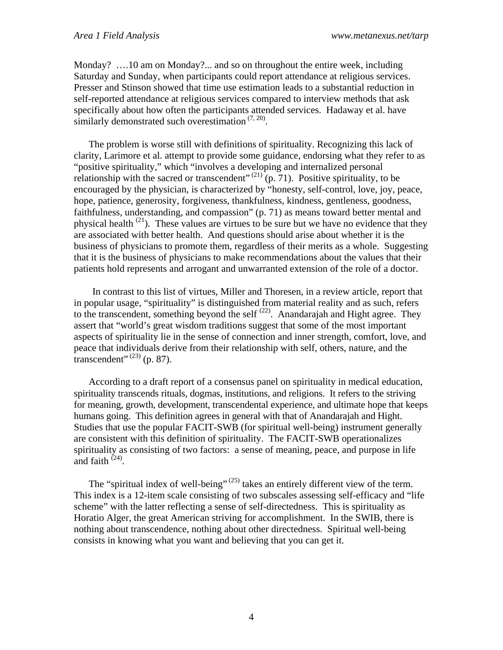Monday? ….10 am on Monday?... and so on throughout the entire week, including Saturday and Sunday, when participants could report attendance at religious services. Presser and Stinson showed that time use estimation leads to a substantial reduction in self-reported attendance at religious services compared to interview methods that ask specifically about how often the participants attended services. Hadaway et al. have similarly demonstrated such overestimation  $(7, 20)$ .

The problem is worse still with definitions of spirituality. Recognizing this lack of clarity, Larimore et al. attempt to provide some guidance, endorsing what they refer to as "positive spirituality," which "involves a developing and internalized personal relationship with the sacred or transcendent"  $^{(21)}$  (p. 71). Positive spirituality, to be encouraged by the physician, is characterized by "honesty, self-control, love, joy, peace, hope, patience, generosity, forgiveness, thankfulness, kindness, gentleness, goodness, faithfulness, understanding, and compassion" (p. 71) as means toward better mental and physical health  $^{(21)}$ . These values are virtues to be sure but we have no evidence that they are associated with better health. And questions should arise about whether it is the business of physicians to promote them, regardless of their merits as a whole. Suggesting that it is the business of physicians to make recommendations about the values that their patients hold represents and arrogant and unwarranted extension of the role of a doctor.

In contrast to this list of virtues, Miller and Thoresen, in a review article, report that in popular usage, "spirituality" is distinguished from material reality and as such, refers to the transcendent, something beyond the self  $(22)$ . Anandarajah and Hight agree. They assert that "world's great wisdom traditions suggest that some of the most important aspects of spirituality lie in the sense of connection and inner strength, comfort, love, and peace that individuals derive from their relationship with self, others, nature, and the transcendent"  $^{(23)}$  (p. 87).

According to a draft report of a consensus panel on spirituality in medical education, spirituality transcends rituals, dogmas, institutions, and religions. It refers to the striving for meaning, growth, development, transcendental experience, and ultimate hope that keeps humans going. This definition agrees in general with that of Anandarajah and Hight. Studies that use the popular FACIT-SWB (for spiritual well-being) instrument generally are consistent with this definition of spirituality. The FACIT-SWB operationalizes spirituality as consisting of two factors: a sense of meaning, peace, and purpose in life and faith  $(24)$ .

The "spiritual index of well-being"  $(25)$  takes an entirely different view of the term. This index is a 12-item scale consisting of two subscales assessing self-efficacy and "life scheme" with the latter reflecting a sense of self-directedness. This is spirituality as Horatio Alger, the great American striving for accomplishment. In the SWIB, there is nothing about transcendence, nothing about other directedness. Spiritual well-being consists in knowing what you want and believing that you can get it.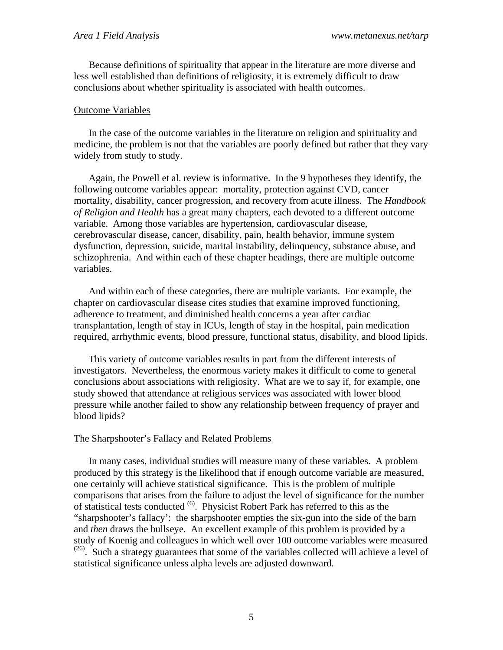Because definitions of spirituality that appear in the literature are more diverse and less well established than definitions of religiosity, it is extremely difficult to draw conclusions about whether spirituality is associated with health outcomes.

#### Outcome Variables

In the case of the outcome variables in the literature on religion and spirituality and medicine, the problem is not that the variables are poorly defined but rather that they vary widely from study to study.

Again, the Powell et al. review is informative. In the 9 hypotheses they identify, the following outcome variables appear: mortality, protection against CVD, cancer mortality, disability, cancer progression, and recovery from acute illness. The *Handbook of Religion and Health* has a great many chapters, each devoted to a different outcome variable. Among those variables are hypertension, cardiovascular disease, cerebrovascular disease, cancer, disability, pain, health behavior, immune system dysfunction, depression, suicide, marital instability, delinquency, substance abuse, and schizophrenia. And within each of these chapter headings, there are multiple outcome variables.

And within each of these categories, there are multiple variants. For example, the chapter on cardiovascular disease cites studies that examine improved functioning, adherence to treatment, and diminished health concerns a year after cardiac transplantation, length of stay in ICUs, length of stay in the hospital, pain medication required, arrhythmic events, blood pressure, functional status, disability, and blood lipids.

This variety of outcome variables results in part from the different interests of investigators. Nevertheless, the enormous variety makes it difficult to come to general conclusions about associations with religiosity. What are we to say if, for example, one study showed that attendance at religious services was associated with lower blood pressure while another failed to show any relationship between frequency of prayer and blood lipids?

# The Sharpshooter's Fallacy and Related Problems

In many cases, individual studies will measure many of these variables. A problem produced by this strategy is the likelihood that if enough outcome variable are measured, one certainly will achieve statistical significance. This is the problem of multiple comparisons that arises from the failure to adjust the level of significance for the number of statistical tests conducted <sup>(6)</sup>. Physicist Robert Park has referred to this as the "sharpshooter's fallacy': the sharpshooter empties the six-gun into the side of the barn and *then* draws the bullseye. An excellent example of this problem is provided by a study of Koenig and colleagues in which well over 100 outcome variables were measured  $(26)$ . Such a strategy guarantees that some of the variables collected will achieve a level of statistical significance unless alpha levels are adjusted downward.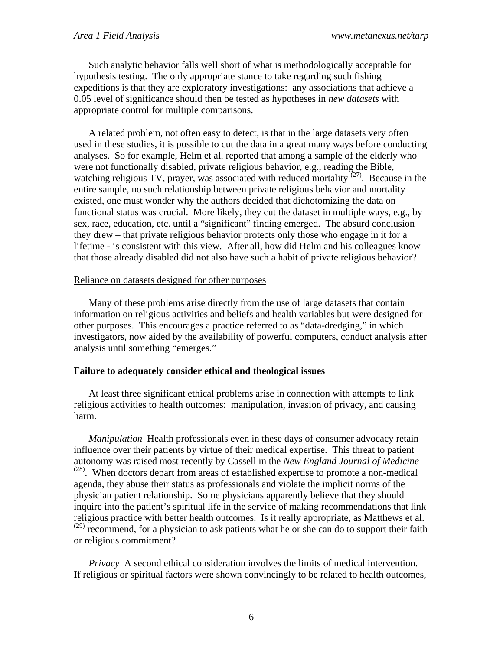Such analytic behavior falls well short of what is methodologically acceptable for hypothesis testing. The only appropriate stance to take regarding such fishing expeditions is that they are exploratory investigations: any associations that achieve a 0.05 level of significance should then be tested as hypotheses in *new datasets* with appropriate control for multiple comparisons.

A related problem, not often easy to detect, is that in the large datasets very often used in these studies, it is possible to cut the data in a great many ways before conducting analyses. So for example, Helm et al. reported that among a sample of the elderly who were not functionally disabled, private religious behavior, e.g., reading the Bible, watching religious TV, prayer, was associated with reduced mortality  $(27)$ . Because in the entire sample, no such relationship between private religious behavior and mortality existed, one must wonder why the authors decided that dichotomizing the data on functional status was crucial. More likely, they cut the dataset in multiple ways, e.g., by sex, race, education, etc. until a "significant" finding emerged. The absurd conclusion they drew – that private religious behavior protects only those who engage in it for a lifetime - is consistent with this view. After all, how did Helm and his colleagues know that those already disabled did not also have such a habit of private religious behavior?

#### Reliance on datasets designed for other purposes

Many of these problems arise directly from the use of large datasets that contain information on religious activities and beliefs and health variables but were designed for other purposes. This encourages a practice referred to as "data-dredging," in which investigators, now aided by the availability of powerful computers, conduct analysis after analysis until something "emerges."

#### **Failure to adequately consider ethical and theological issues**

At least three significant ethical problems arise in connection with attempts to link religious activities to health outcomes: manipulation, invasion of privacy, and causing harm.

*Manipulation* Health professionals even in these days of consumer advocacy retain influence over their patients by virtue of their medical expertise. This threat to patient autonomy was raised most recently by Cassell in the *New England Journal of Medicine* <sup>(28)</sup>. When doctors depart from areas of established expertise to promote a non-medical agenda, they abuse their status as professionals and violate the implicit norms of the physician patient relationship. Some physicians apparently believe that they should inquire into the patient's spiritual life in the service of making recommendations that link religious practice with better health outcomes. Is it really appropriate, as Matthews et al.  $(29)$  recommend, for a physician to ask patients what he or she can do to support their faith or religious commitment?

*Privacy* A second ethical consideration involves the limits of medical intervention. If religious or spiritual factors were shown convincingly to be related to health outcomes,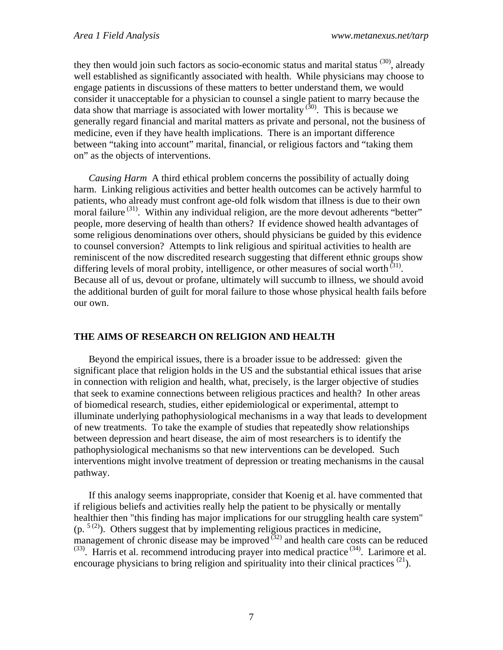they then would join such factors as socio-economic status and marital status  $(30)$ , already well established as significantly associated with health. While physicians may choose to engage patients in discussions of these matters to better understand them, we would consider it unacceptable for a physician to counsel a single patient to marry because the data show that marriage is associated with lower mortality  $(30)$ . This is because we generally regard financial and marital matters as private and personal, not the business of medicine, even if they have health implications. There is an important difference between "taking into account" marital, financial, or religious factors and "taking them on" as the objects of interventions.

*Causing Harm* A third ethical problem concerns the possibility of actually doing harm. Linking religious activities and better health outcomes can be actively harmful to patients, who already must confront age-old folk wisdom that illness is due to their own moral failure  $(31)$ . Within any individual religion, are the more devout adherents "better" people, more deserving of health than others? If evidence showed health advantages of some religious denominations over others, should physicians be guided by this evidence to counsel conversion? Attempts to link religious and spiritual activities to health are reminiscent of the now discredited research suggesting that different ethnic groups show differing levels of moral probity, intelligence, or other measures of social worth  $(31)$ . Because all of us, devout or profane, ultimately will succumb to illness, we should avoid the additional burden of guilt for moral failure to those whose physical health fails before our own.

# **THE AIMS OF RESEARCH ON RELIGION AND HEALTH**

Beyond the empirical issues, there is a broader issue to be addressed: given the significant place that religion holds in the US and the substantial ethical issues that arise in connection with religion and health, what, precisely, is the larger objective of studies that seek to examine connections between religious practices and health? In other areas of biomedical research, studies, either epidemiological or experimental, attempt to illuminate underlying pathophysiological mechanisms in a way that leads to development of new treatments. To take the example of studies that repeatedly show relationships between depression and heart disease, the aim of most researchers is to identify the pathophysiological mechanisms so that new interventions can be developed. Such interventions might involve treatment of depression or treating mechanisms in the causal pathway.

If this analogy seems inappropriate, consider that Koenig et al. have commented that if religious beliefs and activities really help the patient to be physically or mentally healthier then "this finding has major implications for our struggling health care system"  $(p.$  <sup>5(2)</sup>). Others suggest that by implementing religious practices in medicine, management of chronic disease may be improved  $(32)$  and health care costs can be reduced  $^{(33)}$ . Harris et al. recommend introducing prayer into medical practice  $^{(34)}$ . Larimore et al. encourage physicians to bring religion and spirituality into their clinical practices  $^{(21)}$ .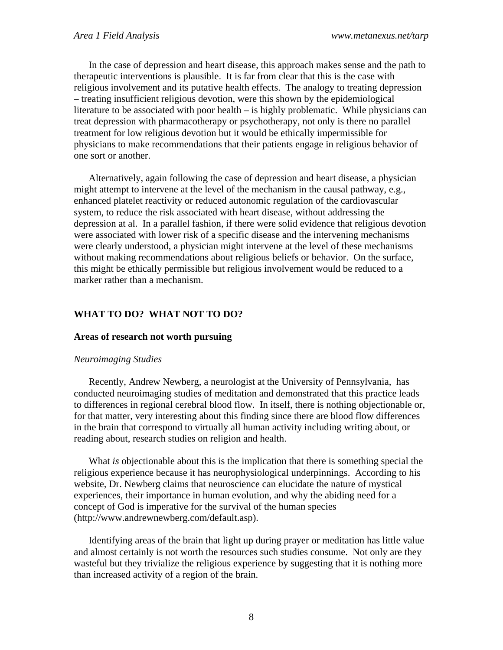In the case of depression and heart disease, this approach makes sense and the path to therapeutic interventions is plausible. It is far from clear that this is the case with religious involvement and its putative health effects. The analogy to treating depression – treating insufficient religious devotion, were this shown by the epidemiological literature to be associated with poor health – is highly problematic. While physicians can treat depression with pharmacotherapy or psychotherapy, not only is there no parallel treatment for low religious devotion but it would be ethically impermissible for physicians to make recommendations that their patients engage in religious behavior of one sort or another.

Alternatively, again following the case of depression and heart disease, a physician might attempt to intervene at the level of the mechanism in the causal pathway, e.g., enhanced platelet reactivity or reduced autonomic regulation of the cardiovascular system, to reduce the risk associated with heart disease, without addressing the depression at al. In a parallel fashion, if there were solid evidence that religious devotion were associated with lower risk of a specific disease and the intervening mechanisms were clearly understood, a physician might intervene at the level of these mechanisms without making recommendations about religious beliefs or behavior. On the surface, this might be ethically permissible but religious involvement would be reduced to a marker rather than a mechanism.

# **WHAT TO DO? WHAT NOT TO DO?**

#### **Areas of research not worth pursuing**

#### *Neuroimaging Studies*

Recently, Andrew Newberg, a neurologist at the University of Pennsylvania, has conducted neuroimaging studies of meditation and demonstrated that this practice leads to differences in regional cerebral blood flow. In itself, there is nothing objectionable or, for that matter, very interesting about this finding since there are blood flow differences in the brain that correspond to virtually all human activity including writing about, or reading about, research studies on religion and health.

What *is* objectionable about this is the implication that there is something special the religious experience because it has neurophysiological underpinnings. According to his website, Dr. Newberg claims that neuroscience can elucidate the nature of mystical experiences, their importance in human evolution, and why the abiding need for a concept of God is imperative for the survival of the human species (http://www.andrewnewberg.com/default.asp).

Identifying areas of the brain that light up during prayer or meditation has little value and almost certainly is not worth the resources such studies consume. Not only are they wasteful but they trivialize the religious experience by suggesting that it is nothing more than increased activity of a region of the brain.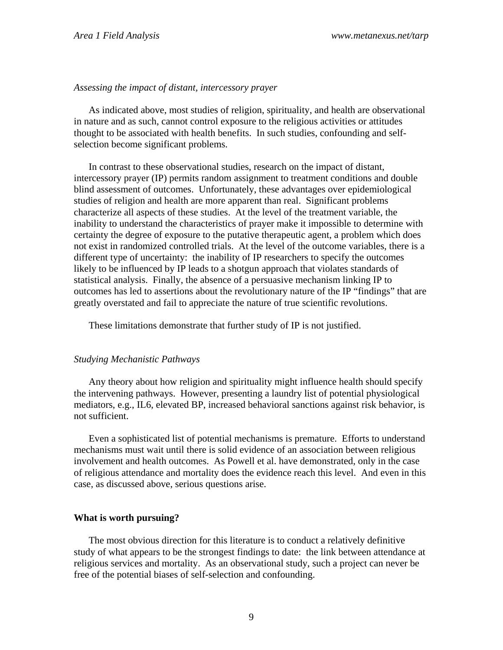### *Assessing the impact of distant, intercessory prayer*

As indicated above, most studies of religion, spirituality, and health are observational in nature and as such, cannot control exposure to the religious activities or attitudes thought to be associated with health benefits. In such studies, confounding and selfselection become significant problems.

In contrast to these observational studies, research on the impact of distant, intercessory prayer (IP) permits random assignment to treatment conditions and double blind assessment of outcomes. Unfortunately, these advantages over epidemiological studies of religion and health are more apparent than real. Significant problems characterize all aspects of these studies. At the level of the treatment variable, the inability to understand the characteristics of prayer make it impossible to determine with certainty the degree of exposure to the putative therapeutic agent, a problem which does not exist in randomized controlled trials. At the level of the outcome variables, there is a different type of uncertainty: the inability of IP researchers to specify the outcomes likely to be influenced by IP leads to a shotgun approach that violates standards of statistical analysis. Finally, the absence of a persuasive mechanism linking IP to outcomes has led to assertions about the revolutionary nature of the IP "findings" that are greatly overstated and fail to appreciate the nature of true scientific revolutions.

These limitations demonstrate that further study of IP is not justified.

# *Studying Mechanistic Pathways*

Any theory about how religion and spirituality might influence health should specify the intervening pathways. However, presenting a laundry list of potential physiological mediators, e.g., IL6, elevated BP, increased behavioral sanctions against risk behavior, is not sufficient.

Even a sophisticated list of potential mechanisms is premature. Efforts to understand mechanisms must wait until there is solid evidence of an association between religious involvement and health outcomes. As Powell et al. have demonstrated, only in the case of religious attendance and mortality does the evidence reach this level. And even in this case, as discussed above, serious questions arise.

# **What is worth pursuing?**

The most obvious direction for this literature is to conduct a relatively definitive study of what appears to be the strongest findings to date: the link between attendance at religious services and mortality. As an observational study, such a project can never be free of the potential biases of self-selection and confounding.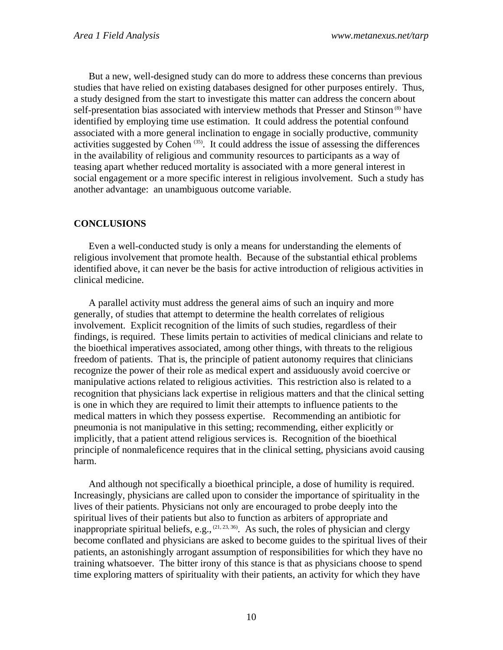But a new, well-designed study can do more to address these concerns than previous studies that have relied on existing databases designed for other purposes entirely. Thus, a study designed from the start to investigate this matter can address the concern about self-presentation bias associated with interview methods that Presser and Stinson<sup>(8)</sup> have identified by employing time use estimation. It could address the potential confound associated with a more general inclination to engage in socially productive, community activities suggested by Cohen  $(35)$ . It could address the issue of assessing the differences in the availability of religious and community resources to participants as a way of teasing apart whether reduced mortality is associated with a more general interest in social engagement or a more specific interest in religious involvement. Such a study has another advantage: an unambiguous outcome variable.

# **CONCLUSIONS**

Even a well-conducted study is only a means for understanding the elements of religious involvement that promote health. Because of the substantial ethical problems identified above, it can never be the basis for active introduction of religious activities in clinical medicine.

A parallel activity must address the general aims of such an inquiry and more generally, of studies that attempt to determine the health correlates of religious involvement. Explicit recognition of the limits of such studies, regardless of their findings, is required. These limits pertain to activities of medical clinicians and relate to the bioethical imperatives associated, among other things, with threats to the religious freedom of patients. That is, the principle of patient autonomy requires that clinicians recognize the power of their role as medical expert and assiduously avoid coercive or manipulative actions related to religious activities. This restriction also is related to a recognition that physicians lack expertise in religious matters and that the clinical setting is one in which they are required to limit their attempts to influence patients to the medical matters in which they possess expertise. Recommending an antibiotic for pneumonia is not manipulative in this setting; recommending, either explicitly or implicitly, that a patient attend religious services is. Recognition of the bioethical principle of nonmaleficence requires that in the clinical setting, physicians avoid causing harm.

And although not specifically a bioethical principle, a dose of humility is required. Increasingly, physicians are called upon to consider the importance of spirituality in the lives of their patients. Physicians not only are encouraged to probe deeply into the spiritual lives of their patients but also to function as arbiters of appropriate and inappropriate spiritual beliefs, e.g.,  $(21, 23, 36)$ . As such, the roles of physician and clergy become conflated and physicians are asked to become guides to the spiritual lives of their patients, an astonishingly arrogant assumption of responsibilities for which they have no training whatsoever. The bitter irony of this stance is that as physicians choose to spend time exploring matters of spirituality with their patients, an activity for which they have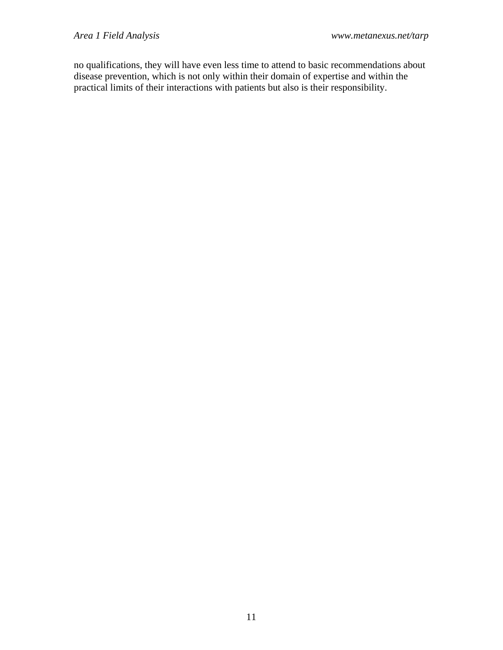no qualifications, they will have even less time to attend to basic recommendations about disease prevention, which is not only within their domain of expertise and within the practical limits of their interactions with patients but also is their responsibility.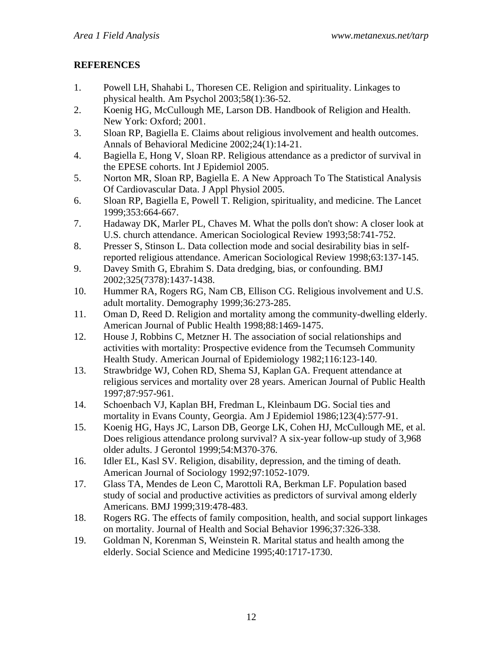# **REFERENCES**

- 1. Powell LH, Shahabi L, Thoresen CE. Religion and spirituality. Linkages to physical health. Am Psychol 2003;58(1):36-52.
- 2. Koenig HG, McCullough ME, Larson DB. Handbook of Religion and Health. New York: Oxford; 2001.
- 3. Sloan RP, Bagiella E. Claims about religious involvement and health outcomes. Annals of Behavioral Medicine 2002;24(1):14-21.
- 4. Bagiella E, Hong V, Sloan RP. Religious attendance as a predictor of survival in the EPESE cohorts. Int J Epidemiol 2005.
- 5. Norton MR, Sloan RP, Bagiella E. A New Approach To The Statistical Analysis Of Cardiovascular Data. J Appl Physiol 2005.
- 6. Sloan RP, Bagiella E, Powell T. Religion, spirituality, and medicine. The Lancet 1999;353:664-667.
- 7. Hadaway DK, Marler PL, Chaves M. What the polls don't show: A closer look at U.S. church attendance. American Sociological Review 1993;58:741-752.
- 8. Presser S, Stinson L. Data collection mode and social desirability bias in selfreported religious attendance. American Sociological Review 1998;63:137-145.
- 9. Davey Smith G, Ebrahim S. Data dredging, bias, or confounding. BMJ 2002;325(7378):1437-1438.
- 10. Hummer RA, Rogers RG, Nam CB, Ellison CG. Religious involvement and U.S. adult mortality. Demography 1999;36:273-285.
- 11. Oman D, Reed D. Religion and mortality among the community-dwelling elderly. American Journal of Public Health 1998;88:1469-1475.
- 12. House J, Robbins C, Metzner H. The association of social relationships and activities with mortality: Prospective evidence from the Tecumseh Community Health Study. American Journal of Epidemiology 1982;116:123-140.
- 13. Strawbridge WJ, Cohen RD, Shema SJ, Kaplan GA. Frequent attendance at religious services and mortality over 28 years. American Journal of Public Health 1997;87:957-961.
- 14. Schoenbach VJ, Kaplan BH, Fredman L, Kleinbaum DG. Social ties and mortality in Evans County, Georgia. Am J Epidemiol 1986;123(4):577-91.
- 15. Koenig HG, Hays JC, Larson DB, George LK, Cohen HJ, McCullough ME, et al. Does religious attendance prolong survival? A six-year follow-up study of 3,968 older adults. J Gerontol 1999;54:M370-376.
- 16. Idler EL, Kasl SV. Religion, disability, depression, and the timing of death. American Journal of Sociology 1992;97:1052-1079.
- 17. Glass TA, Mendes de Leon C, Marottoli RA, Berkman LF. Population based study of social and productive activities as predictors of survival among elderly Americans. BMJ 1999;319:478-483.
- 18. Rogers RG. The effects of family composition, health, and social support linkages on mortality. Journal of Health and Social Behavior 1996;37:326-338.
- 19. Goldman N, Korenman S, Weinstein R. Marital status and health among the elderly. Social Science and Medicine 1995;40:1717-1730.